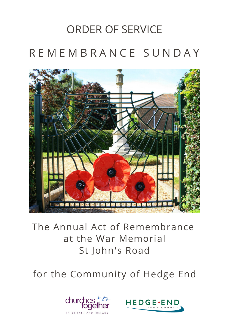# ORDER OF SERVICE R E M E M B R A N C E S U N D A Y



## The Annual Act of Remembrance at the War Memorial St John's Road

for the Community of Hedge End



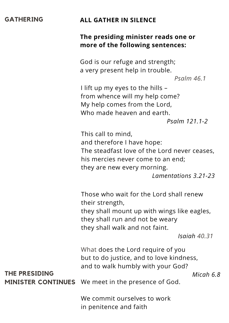#### **GATHERING ALL GATHER IN SILENCE**

#### **The presiding minister reads one or more of the following sentences:**

God is our refuge and strength; a very present help in trouble.

*Psalm 46.1*

I lift up my eyes to the hills – from whence will my help come? My help comes from the Lord, Who made heaven and earth. *Psalm 121.1-2*

This call to mind, and therefore I have hope: The steadfast love of the Lord never ceases, his mercies never come to an end; they are new every morning.

*Lamentations 3.21-23*

Those who wait for the Lord shall renew their strength, they shall mount up with wings like eagles, they shall run and not be weary

they shall walk and not faint.

*Isaiah 40.31*

What does the Lord require of you but to do justice, and to love kindness, and to walk humbly with your God?

**THE PRESIDING** *Micah 6.8*

**MINISTER CONTINUES** We meet in the presence of God.

We commit ourselves to work in penitence and faith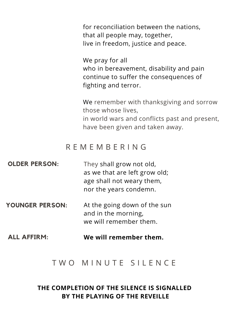for reconciliation between the nations, that all people may, together, live in freedom, justice and peace.

We pray for all who in bereavement, disability and pain continue to suffer the consequences of fighting and terror.

We remember with thanksgiving and sorrow those whose lives, in world wars and conflicts past and present, have been given and taken away.

### R E M E M B E R I N G

| <b>OLDER PERSON:</b> | They shall grow not old,<br>as we that are left grow old;<br>age shall not weary them,<br>nor the years condemn. |
|----------------------|------------------------------------------------------------------------------------------------------------------|
| YOUNGER PERSON:      | At the going down of the sun                                                                                     |

- and in the morning, we will remember them.
- **ALL AFFIRM: We will remember them.**

#### T W O M I N U T E S I L E N C E

#### **THE COMPLETION OF THE SILENCE IS SIGNALLED BY THE PLAYING OF THE REVEILLE**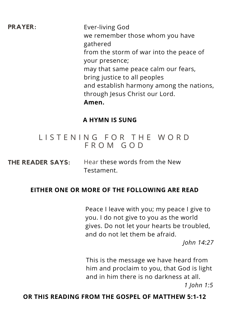**PRAYER:** Ever-living God we remember those whom you have gathered from the storm of war into the peace of your presence; may that same peace calm our fears, bring justice to all peoples and establish harmony among the nations, through Jesus Christ our Lord. **Amen.**

#### **A HYMN IS SUNG**

### LISTENING FOR THE WORD F R O M G O D

**THE READER SAYS:** Hear these words from the New Testament.

#### **EITHER ONE OR MORE OF THE FOLLOWING ARE READ**

Peace I leave with you; my peace I give to you. I do not give to you as the world gives. Do not let your hearts be troubled, and do not let them be afraid.

*John 14:27*

This is the message we have heard from him and proclaim to you, that God is light and in him there is no darkness at all. *1 John 1:5*

#### **OR THIS READING FROM THE GOSPEL OF MATTHEW 5:1-12**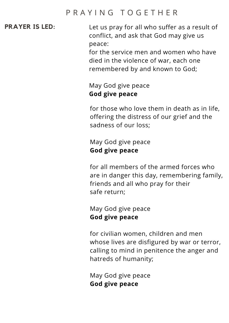### P R A Y I N G T O G E T H E R

**PRAYER IS LED:** Let us pray for all who suffer as a result of conflict, and ask that God may give us peace:

> for the service men and women who have died in the violence of war, each one remembered by and known to God;

#### May God give peace **God give peace**

for those who love them in death as in life, offering the distress of our grief and the sadness of our loss;

#### May God give peace **God give peace**

for all members of the armed forces who are in danger this day, remembering family, friends and all who pray for their safe return;

#### May God give peace **God give peace**

for civilian women, children and men whose lives are disfigured by war or terror, calling to mind in penitence the anger and hatreds of humanity;

May God give peace **God give peace**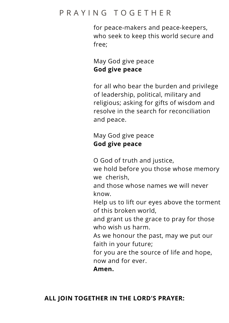### P R A Y I N G T O G E T H E R

for peace-makers and peace-keepers, who seek to keep this world secure and free;

May God give peace **God give peace**

for all who bear the burden and privilege of leadership, political, military and religious; asking for gifts of wisdom and resolve in the search for reconciliation and peace.

May God give peace **God give peace**

O God of truth and justice,

we hold before you those whose memory we cherish,

and those whose names we will never know.

Help us to lift our eyes above the torment of this broken world,

and grant us the grace to pray for those who wish us harm.

As we honour the past, may we put our faith in your future;

for you are the source of life and hope, now and for ever.

**Amen.**

#### **ALL JOIN TOGETHER IN THE LORD'S PRAYER:**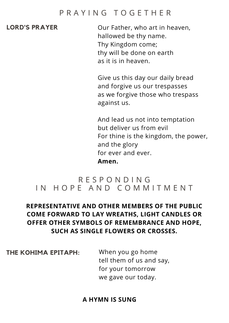#### P R A Y I N G T O G E T H E R

**LORD'S PRAYER** Our Father, who art in heaven, hallowed be thy name. Thy Kingdom come; thy will be done on earth as it is in heaven.

> Give us this day our daily bread and forgive us our trespasses as we forgive those who trespass against us.

And lead us not into temptation but deliver us from evil For thine is the kingdom, the power, and the glory for ever and ever. **Amen.**

#### R E S P O N D I N G IN HOPE AND COMMITMENT

#### **REPRESENTATIVE AND OTHER MEMBERS OF THE PUBLIC COME FORWARD TO LAY WREATHS, LIGHT CANDLES OR OFFER OTHER SYMBOLS OF REMEMBRANCE AND HOPE, SUCH AS SINGLE FLOWERS OR CROSSES.**

**THE KOHIMA EPITAPH:** When you go home

tell them of us and say, for your tomorrow we gave our today.

#### **A HYMN IS SUNG**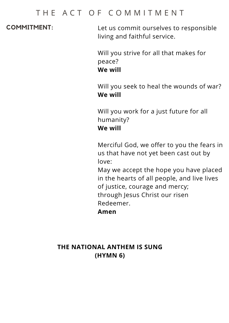#### THE ACT OF COMMITMENT

**COMMITMENT:** Let us commit ourselves to responsible living and faithful service.

> Will you strive for all that makes for peace? **We will**

Will you seek to heal the wounds of war? **We will**

Will you work for a just future for all humanity? **We will**

Merciful God, we offer to you the fears in us that have not yet been cast out by love:

May we accept the hope you have placed in the hearts of all people, and live lives of justice, courage and mercy; through Jesus Christ our risen Redeemer.

**Amen**

#### **THE NATIONAL ANTHEM IS SUNG (HYMN 6)**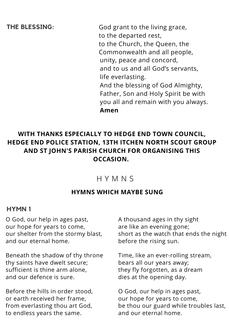unity, peace and concord, and to us and all God's servants, life everlasting. And the blessing of God Almighty, Father, Son and Holy Spirit be with you all and remain with you always. **Amen THE BLESSING:** God grant to the living grace, to the departed rest, to the Church, the Queen, the Commonwealth and all people,

#### **WITH THANKS ESPECIALLY TO HEDGE END TOWN COUNCIL, HEDGE END POLICE STATION, 13TH ITCHEN NORTH SCOUT GROUP AND ST JOHN'S PARISH CHURCH FOR ORGANISING THIS OCCASION.**

### H Y M N S

#### **HYMNS WHICH MAYBE SUNG**

#### **HYMN 1**

O God, our help in ages past, our hope for years to come, our shelter from the stormy blast, and our eternal home.

Beneath the shadow of thy throne thy saints have dwelt secure; sufficient is thine arm alone, and our defence is sure.

Before the hills in order stood, or earth received her frame, from everlasting thou art God, to endless years the same.

A thousand ages in thy sight are like an evening gone; short as the watch that ends the night before the rising sun.

Time, like an ever-rolling stream, bears all our years away; they fly forgotten, as a dream dies at the opening day.

O God, our help in ages past, our hope for years to come, be thou our guard while troubles last, and our eternal home.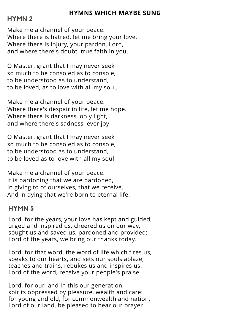#### **HYMNS WHICH MAYBE SUNG**

#### **HYMN 2**

Make me a channel of your peace. Where there is hatred, let me bring your love. Where there is injury, your pardon, Lord, and where there's doubt, true faith in you.

O Master, grant that I may never seek so much to be consoled as to console, to be understood as to understand, to be loved, as to love with all my soul.

Make me a channel of your peace. Where there's despair in life, let me hope. Where there is darkness, only light, and where there's sadness, ever joy.

O Master, grant that I may never seek so much to be consoled as to console, to be understood as to understand, to be loved as to love with all my soul.

Make me a channel of your peace. It is pardoning that we are pardoned, In giving to of ourselves, that we receive, And in dying that we're born to eternal life.

#### **HYMN 3**

Lord, for the years, your love has kept and guided, urged and inspired us, cheered us on our way, sought us and saved us, pardoned and provided: Lord of the years, we bring our thanks today.

Lord, for that word, the word of life which fires us, speaks to our hearts, and sets our souls ablaze, teaches and trains, rebukes us and inspires us: Lord of the word, receive your people's praise.

Lord, for our land In this our generation, spirits oppressed by pleasure, wealth and care: for young and old, for commonwealth and nation, Lord of our land, be pleased to hear our prayer.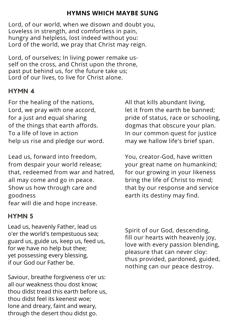#### **HYMNS WHICH MAYBE SUNG**

Lord, of our world, when we disown and doubt you, Loveless in strength, and comfortless in pain, hungry and helpless, lost indeed without you: Lord of the world, we pray that Christ may reign.

Lord, of ourselves; In living power remake usself on the cross, and Christ upon the throne, past put behind us, for the future take us; Lord of our lives, to live for Christ alone.

#### **HYMN 4**

For the healing of the nations, Lord, we pray with one accord, for a just and equal sharing of the things that earth affords. To a life of love in action help us rise and pledge our word.

Lead us, forward into freedom, from despair your world release; that, redeemed from war and hatred, all may come and go in peace. Show us how through care and goodness fear will die and hope increase.

#### **HYMN 5**

Lead us, heavenly Father, lead us o'er the world's tempestuous sea; guard us, guide us, keep us, feed us, for we have no help but thee; yet possessing every blessing, if our God our Father be.

Saviour, breathe forgiveness o'er us: all our weakness thou dost know; thou didst tread this earth before us, thou didst feel its keenest woe; lone and dreary, faint and weary, through the desert thou didst go.

All that kills abundant living, let it from the earth be banned; pride of status, race or schooling, dogmas that obscure your plan. In our common quest for justice may we hallow life's brief span.

You, creator-God, have written your great name on humankind; for our growing in your likeness bring the life of Christ to mind; that by our response and service earth its destiny may find.

Spirit of our God, descending, fill our hearts with heavenly joy, love with every passion blending, pleasure that can never cloy: thus provided, pardoned, guided, nothing can our peace destroy.